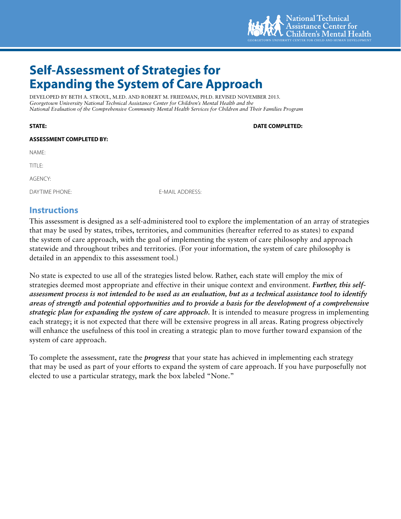

# **Self-Assessment of Strategies for Expanding the System of Care Approach**

DEVELOPED BY BETH A. STROUL, M.ED. AND ROBERT M. FRIEDMAN, PH.D. REVISED NOVEMBER 2013. *Georgetown University National Technical Assistance Center for Children's Mental Health and the National Evaluation of the Comprehensive Community Mental Health Services for Children and Their Families Program*

### **ASSESSMENT COMPLETED BY:**

NAME:

TITLE:

AGENCY:

DAYTIME PHONE: E-MAIL ADDRESS:

### **Instructions**

This assessment is designed as a self-administered tool to explore the implementation of an array of strategies that may be used by states, tribes, territories, and communities (hereafter referred to as states) to expand the system of care approach, with the goal of implementing the system of care philosophy and approach statewide and throughout tribes and territories. (For your information, the system of care philosophy is detailed in an appendix to this assessment tool.)

No state is expected to use all of the strategies listed below. Rather, each state will employ the mix of strategies deemed most appropriate and effective in their unique context and environment. *Further, this selfassessment process is not intended to be used as an evaluation, but as a technical assistance tool to identify areas of strength and potential opportunities and to provide a basis for the development of a comprehensive strategic plan for expanding the system of care approach.* It is intended to measure progress in implementing each strategy; it is not expected that there will be extensive progress in all areas. Rating progress objectively will enhance the usefulness of this tool in creating a strategic plan to move further toward expansion of the system of care approach.

To complete the assessment, rate the *progress* that your state has achieved in implementing each strategy that may be used as part of your efforts to expand the system of care approach. If you have purposefully not elected to use a particular strategy, mark the box labeled "None."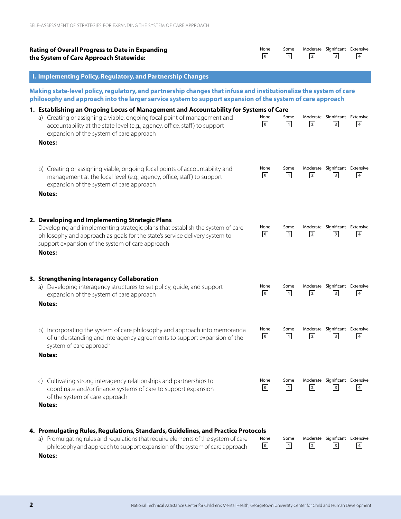| <b>Rating of Overall Progress to Date in Expanding</b><br>the System of Care Approach Statewide:                                                                                                                                                                                                             | None<br>$\bullet$        | Some<br>$\boxed{1}$  | $\overline{2}$ | Moderate Significant Extensive<br>$\ensuremath{\mathsf{3}}$ | $\sqrt{4}$     |
|--------------------------------------------------------------------------------------------------------------------------------------------------------------------------------------------------------------------------------------------------------------------------------------------------------------|--------------------------|----------------------|----------------|-------------------------------------------------------------|----------------|
| I. Implementing Policy, Regulatory, and Partnership Changes                                                                                                                                                                                                                                                  |                          |                      |                |                                                             |                |
| Making state-level policy, regulatory, and partnership changes that infuse and institutionalize the system of care<br>philosophy and approach into the larger service system to support expansion of the system of care approach                                                                             |                          |                      |                |                                                             |                |
| 1. Establishing an Ongoing Locus of Management and Accountability for Systems of Care<br>a) Creating or assigning a viable, ongoing focal point of management and<br>accountability at the state level (e.g., agency, office, staff) to support<br>expansion of the system of care approach<br><b>Notes:</b> | None<br>$\mathbf 0$      | Some<br>$\boxed{1}$  | $\overline{2}$ | Moderate Significant Extensive<br>$\vert$ 3                 | $\overline{4}$ |
| b) Creating or assigning viable, ongoing focal points of accountability and<br>management at the local level (e.g., agency, office, staff) to support<br>expansion of the system of care approach<br><b>Notes:</b>                                                                                           | None<br>$\boldsymbol{0}$ | Some<br>$\boxed{1}$  | $\sqrt{2}$     | Moderate Significant Extensive<br>$\overline{\mathbf{3}}$   | $\sqrt{4}$     |
| 2. Developing and Implementing Strategic Plans<br>Developing and implementing strategic plans that establish the system of care<br>philosophy and approach as goals for the state's service delivery system to<br>support expansion of the system of care approach<br><b>Notes:</b>                          | None<br>$\mathbf 0$      | Some<br>$\boxed{1}$  | $\overline{2}$ | Moderate Significant Extensive<br>$\overline{\mathbf{3}}$   | $\sqrt{4}$     |
| 3. Strengthening Interagency Collaboration<br>a) Developing interagency structures to set policy, guide, and support<br>expansion of the system of care approach<br>Notes:                                                                                                                                   | None<br>$\mathbf 0$      | Some<br>$\vert$ 1    | $\overline{2}$ | Moderate Significant Extensive<br>$\overline{\mathbf{3}}$   | $\overline{4}$ |
| b) Incorporating the system of care philosophy and approach into memoranda<br>of understanding and interagency agreements to support expansion of the<br>system of care approach<br><b>Notes:</b>                                                                                                            | None<br>$\mathbf 0$      | Some<br>$\boxed{1}$  | $\sqrt{2}$     | Moderate Significant Extensive<br>$\sqrt{3}$                | 4              |
| Cultivating strong interagency relationships and partnerships to<br>$\mathsf{C}$<br>coordinate and/or finance systems of care to support expansion<br>of the system of care approach<br><b>Notes:</b>                                                                                                        | None<br>$\mathbf 0$      | Some<br>$\mathbf{1}$ | $\overline{2}$ | Moderate Significant Extensive<br>$\overline{\mathbf{3}}$   | $\sqrt{4}$     |
| 4. Promulgating Rules, Regulations, Standards, Guidelines, and Practice Protocols<br>a) Promulgating rules and regulations that require elements of the system of care<br>philosophy and approach to support expansion of the system of care approach<br><b>Notes:</b>                                       | None<br>$\bullet$        | Some<br>$\boxed{1}$  | $\sqrt{2}$     | Moderate Significant Extensive<br>$\overline{\mathbf{3}}$   | $\sqrt{4}$     |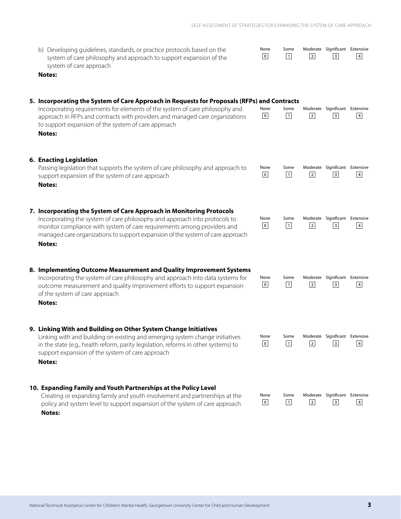| b) Developing guidelines, standards, or practice protocols based on the |
|-------------------------------------------------------------------------|
| system of care philosophy and approach to support expansion of the      |
| system of care approach                                                 |

| None           | Some              |                | Moderate Significant Extensive |            |
|----------------|-------------------|----------------|--------------------------------|------------|
| $\overline{0}$ | $\lceil 1 \rceil$ | $\overline{2}$ | $\overline{\mathbf{3}}$        | $\sqrt{4}$ |

#### **Notes:**

#### **5. Incorporating the System of Care Approach in Requests for Proposals (RFPs) and Contracts** Incorporating requirements for elements of the system of care philosophy and None Some Moderate Significant Extensive  $\overline{0}$  $\mathbf{1}$  $\overline{2}$  $3$  $4$ approach in RFPs and contracts with providers and managed care organizations to support expansion of the system of care approach **Notes: 6. Enacting Legislation** Passing legislation that supports the system of care philosophy and approach to None Some Moderate Significant Extensive  $\overline{0}$  $\boxed{1}$  $\sqrt{2}$  $3$  $\sqrt{4}$ support expansion of the system of care approach **Notes: 7. Incorporating the System of Care Approach in Monitoring Protocols** None Some Moderate Significant Extensive Incorporating the system of care philosophy and approach into protocols to  $\overline{0}$  $\boxed{1}$  $\sqrt{2}$  $\overline{\mathbf{3}}$  $\overline{4}$ monitor compliance with system of care requirements among providers and managed care organizations to support expansion of the system of care approach **Notes: 8. Implementing Outcome Measurement and Quality Improvement Systems** Incorporating the system of care philosophy and approach into data systems for None Some Moderate Significant Extensive  $\overline{0}$  $\boxed{1}$  $\overline{2}$  $\overline{3}$  $4$ outcome measurement and quality improvement efforts to support expansion of the system of care approach **Notes: 9. Linking With and Building on Other System Change Initiatives** None Some Moderate Significant Extensive Linking with and building on existing and emerging system change initiatives

in the state (e.g., health reform, parity legislation, reforms in other systems) to support expansion of the system of care approach

**Notes:**

#### **10. Expanding Family and Youth Partnerships at the Policy Level**

Creating or expanding family and youth involvement and partnerships at the policy and system level to support expansion of the system of care approach **Notes:**

| None | Some Moderate Significant Extensive |  |
|------|-------------------------------------|--|

 $\overline{2}$ 

 $\overline{2}$ 

 $\overline{\mathbf{3}}$ 

 $\ensuremath{\mathsf{3}}$ 

 $4$ 

 $\sqrt{4}$ 

 $\boxed{1}$ 

 $\mathbf{1}$ 

 $\overline{0}$ 

 $\overline{0}$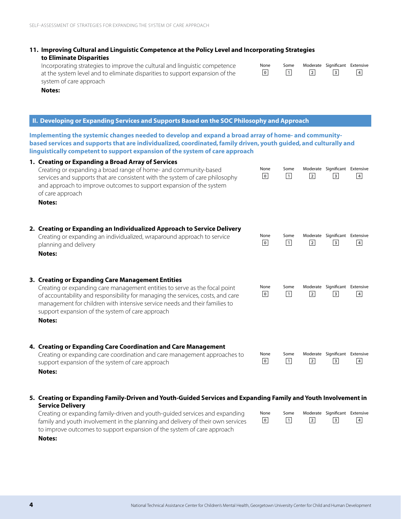### **11. Improving Cultural and Linguistic Competence at the Policy Level and Incorporating Strategies to Eliminate Disparities**

Incorporating strategies to improve the cultural and linguistic competence at the system level and to eliminate disparities to support expansion of the system of care approach

| None           | Some   |            | Moderate Significant Extensive |            |
|----------------|--------|------------|--------------------------------|------------|
| $\overline{0}$ | $\Box$ | $\sqrt{2}$ | $\overline{\mathbf{3}}$        | $\sqrt{4}$ |

**Notes:**

### **II. Developing or Expanding Services and Supports Based on the SOC Philosophy and Approach**

**Implementing the systemic changes needed to develop and expand a broad array of home- and communitybased services and supports that are individualized, coordinated, family driven, youth guided, and culturally and linguistically competent to support expansion of the system of care approach**

| 1. Creating or Expanding a Broad Array of Services<br>Creating or expanding a broad range of home- and community-based<br>services and supports that are consistent with the system of care philosophy<br>and approach to improve outcomes to support expansion of the system<br>of care approach<br>Notes:                                                           | None<br>$\,$ 0 $\,$    | Some<br>$\boxed{1}$ | $\overline{2}$ | Moderate Significant Extensive<br>$\overline{\mathbf{3}}$   | $\overline{4}$ |
|-----------------------------------------------------------------------------------------------------------------------------------------------------------------------------------------------------------------------------------------------------------------------------------------------------------------------------------------------------------------------|------------------------|---------------------|----------------|-------------------------------------------------------------|----------------|
| 2. Creating or Expanding an Individualized Approach to Service Delivery<br>Creating or expanding an individualized, wraparound approach to service<br>planning and delivery<br>Notes:                                                                                                                                                                                 | None<br>$\mathbf 0$    | Some<br>$\boxed{1}$ | $\overline{2}$ | Moderate Significant Extensive<br>$\overline{\phantom{a}}$  | $\overline{4}$ |
| 3. Creating or Expanding Care Management Entities<br>Creating or expanding care management entities to serve as the focal point<br>of accountability and responsibility for managing the services, costs, and care<br>management for children with intensive service needs and their families to<br>support expansion of the system of care approach<br><b>Notes:</b> | None<br>$\overline{0}$ | Some<br>$\boxed{1}$ | $\overline{2}$ | Moderate Significant Extensive<br>$\vert$ 3                 | $\overline{4}$ |
| 4. Creating or Expanding Care Coordination and Care Management<br>Creating or expanding care coordination and care management approaches to<br>support expansion of the system of care approach<br><b>Notes:</b>                                                                                                                                                      | None<br>$\mathbf 0$    | Some<br>$\boxed{1}$ | $\overline{2}$ | Moderate Significant Extensive<br>$\ensuremath{\mathsf{3}}$ | $\sqrt{4}$     |
| 5. Creating or Expanding Family-Driven and Youth-Guided Services and Expanding Family and Youth Involvement in<br><b>Service Delivery</b>                                                                                                                                                                                                                             |                        |                     |                |                                                             |                |
| Creating or expanding family-driven and youth-guided services and expanding<br>family and youth involvement in the planning and delivery of their own services<br>to improve outcomes to support expansion of the system of care approach                                                                                                                             | None<br>$\bullet$      | Some<br>$\boxed{1}$ | $\overline{2}$ | Moderate Significant Extensive<br>$\overline{\mathbf{3}}$   | $\sqrt{4}$     |

**Notes:**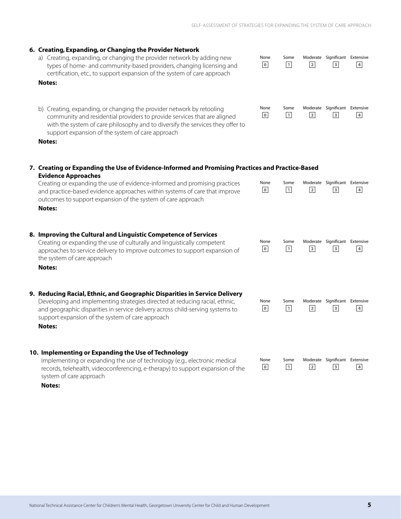#### SELF-ASSESSMENT OF STRATEGIES FOR EXPANDING THE SYSTEM OF CARE APPROACH

 $\overline{1}$ 

 $\mathbf 0$ 

None Some Moderate Significant Extensive

 $\overline{\mathbf{3}}$ 

 $\sqrt{4}$ 

 $\overline{2}$ 

None Some Moderate Significant Extensive

| b) Creating, expanding, or changing the provider network by retooling<br>community and residential providers to provide services that are aligned<br>with the system of care philosophy and to diversify the services they offer to<br>support expansion of the system of care approach<br><b>Notes:</b>                                                                    | None<br>$\mathbf 0$ | Some<br>$\vert$ 1   | $\overline{2}$ | Moderate Significant Extensive<br>$\overline{\mathbf{3}}$   | 4              |
|-----------------------------------------------------------------------------------------------------------------------------------------------------------------------------------------------------------------------------------------------------------------------------------------------------------------------------------------------------------------------------|---------------------|---------------------|----------------|-------------------------------------------------------------|----------------|
| 7. Creating or Expanding the Use of Evidence-Informed and Promising Practices and Practice-Based<br><b>Evidence Approaches</b><br>Creating or expanding the use of evidence-informed and promising practices<br>and practice-based evidence approaches within systems of care that improve<br>outcomes to support expansion of the system of care approach<br><b>Notes:</b> | None<br>$\mathbf 0$ | Some<br>$\boxed{1}$ | $\overline{2}$ | Moderate Significant Extensive<br>$\ensuremath{\mathsf{3}}$ | $\overline{4}$ |
| 8. Improving the Cultural and Linguistic Competence of Services<br>Creating or expanding the use of culturally and linguistically competent<br>approaches to service delivery to improve outcomes to support expansion of<br>the system of care approach<br><b>Notes:</b>                                                                                                   | None<br>$\bullet$   | Some<br>$\boxed{1}$ | $\overline{2}$ | Moderate Significant Extensive<br>$\overline{\mathbf{3}}$   | $\overline{4}$ |
| 9. Reducing Racial, Ethnic, and Geographic Disparities in Service Delivery<br>Developing and implementing strategies directed at reducing racial, ethnic,<br>and geographic disparities in service delivery across child-serving systems to<br>support expansion of the system of care approach<br><b>Notes:</b>                                                            | None<br>$\mathbf 0$ | Some<br>$\vert$ 1   | $\overline{2}$ | Moderate Significant Extensive<br>$\overline{\mathbf{3}}$   | $\overline{4}$ |
| 10. Implementing or Expanding the Use of Technology<br>Implementing or expanding the use of technology (e.g., electronic medical<br>records, telehealth, videoconferencing, e-therapy) to support expansion of the<br>system of care approach                                                                                                                               | None<br>$\mathbf 0$ | Some<br>$\boxed{1}$ | $\sqrt{2}$     | Moderate Significant Extensive<br>$\overline{\mathbf{3}}$   | $\overline{4}$ |

**6. Creating, Expanding, or Changing the Provider Network**

a) Creating, expanding, or changing the provider network by adding new types of home- and community-based providers, changing licensing and certification, etc., to support expansion of the system of care approach

**Notes:**

**Notes:**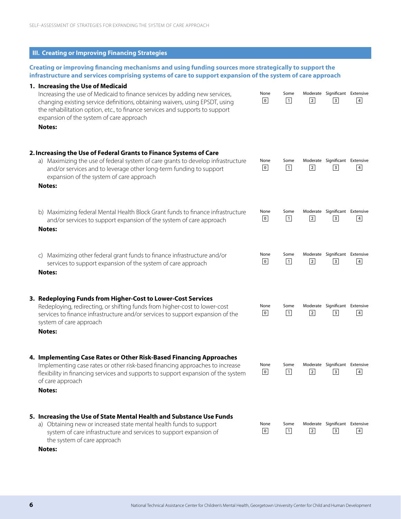| <b>III. Creating or Improving Financing Strategies</b>                                                                                                                                                                                                                                                                                       |                     |                      |                |                                                             |                |
|----------------------------------------------------------------------------------------------------------------------------------------------------------------------------------------------------------------------------------------------------------------------------------------------------------------------------------------------|---------------------|----------------------|----------------|-------------------------------------------------------------|----------------|
| Creating or improving financing mechanisms and using funding sources more strategically to support the<br>infrastructure and services comprising systems of care to support expansion of the system of care approach                                                                                                                         |                     |                      |                |                                                             |                |
| 1. Increasing the Use of Medicaid<br>Increasing the use of Medicaid to finance services by adding new services,<br>changing existing service definitions, obtaining waivers, using EPSDT, using<br>the rehabilitation option, etc., to finance services and supports to support<br>expansion of the system of care approach<br><b>Notes:</b> | None<br>$\mathbf 0$ | Some<br>$\vert$ 1    | $\overline{2}$ | Moderate Significant Extensive<br>$\overline{\mathbf{3}}$   | $\overline{4}$ |
| 2. Increasing the Use of Federal Grants to Finance Systems of Care<br>a) Maximizing the use of federal system of care grants to develop infrastructure<br>and/or services and to leverage other long-term funding to support<br>expansion of the system of care approach<br><b>Notes:</b>                                                    | None<br>$\mathbf 0$ | Some<br>$\mathbf{1}$ | $\sqrt{2}$     | Moderate Significant Extensive<br>$\ensuremath{\mathsf{3}}$ | $\sqrt{4}$     |
| b) Maximizing federal Mental Health Block Grant funds to finance infrastructure<br>and/or services to support expansion of the system of care approach<br><b>Notes:</b>                                                                                                                                                                      | None<br>$\bullet$   | Some<br>$\boxed{1}$  | $\overline{2}$ | Moderate Significant Extensive<br>$\overline{\mathbf{3}}$   | $\overline{4}$ |
| Maximizing other federal grant funds to finance infrastructure and/or<br>C)<br>services to support expansion of the system of care approach<br><b>Notes:</b>                                                                                                                                                                                 | None<br>$\mathbf 0$ | Some<br>$\boxed{1}$  | $\overline{2}$ | Moderate Significant Extensive<br>$\ensuremath{\mathsf{3}}$ | $\sqrt{4}$     |
| 3. Redeploying Funds from Higher-Cost to Lower-Cost Services<br>Redeploying, redirecting, or shifting funds from higher-cost to lower-cost<br>services to finance infrastructure and/or services to support expansion of the<br>system of care approach<br><b>Notes:</b>                                                                     | None<br>$\mathbf 0$ | Some<br>$\mathbf{1}$ | $\overline{2}$ | Moderate Significant Extensive<br>$\overline{\mathbf{3}}$   | $\sqrt{4}$     |
| 4. Implementing Case Rates or Other Risk-Based Financing Approaches<br>Implementing case rates or other risk-based financing approaches to increase<br>flexibility in financing services and supports to support expansion of the system<br>of care approach<br><b>Notes:</b>                                                                | None<br>$\mathbf 0$ | Some<br>$\vert$ 1    | $\sqrt{2}$     | Moderate Significant Extensive<br>$\overline{\mathbf{3}}$   | $\overline{4}$ |
| 5. Increasing the Use of State Mental Health and Substance Use Funds<br>a) Obtaining new or increased state mental health funds to support<br>system of care infrastructure and services to support expansion of<br>the system of care approach<br>Notes:                                                                                    | None<br>$\mathbf 0$ | Some<br>$\boxed{1}$  | $\sqrt{2}$     | Moderate Significant Extensive<br>$\overline{\mathbf{3}}$   | $\overline{4}$ |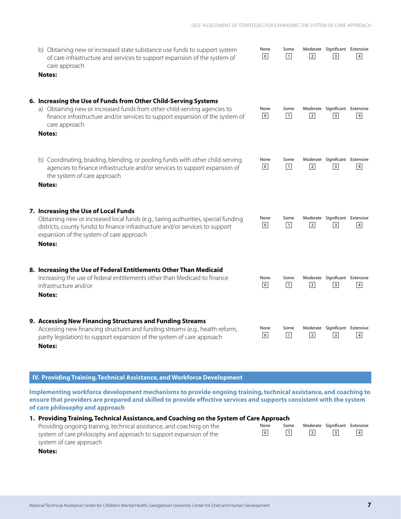$\vert$  1

 $\vert$  1

 $\vert$  1

 $\boxed{1}$ 

 $\boxed{1}$ 

 $\overline{1}$ 

 $\overline{0}$ 

 $\overline{0}$ 

 $\overline{0}$ 

 $\overline{0}$ 

 $\overline{0}$ 

 $\overline{0}$ 

None Some Moderate Significant Extensive

 $\overline{\mathbf{3}}$ 

 $3$ 

 $\overline{\mathbf{3}}$ 

 $\overline{\mathbf{3}}$ 

 $\overline{\mathbf{3}}$ 

 $\overline{\mathbf{3}}$ 

 $\overline{4}$ 

 $\overline{4}$ 

 $\overline{4}$ 

 $\overline{4}$ 

 $4$ 

 $\overline{4}$ 

 $\overline{2}$ 

None Some Moderate Significant Extensive

 $\overline{2}$ 

None Some Moderate Significant Extensive

 $\overline{2}$ 

None Some Moderate Significant Extensive

 $\overline{2}$ 

None Some Moderate Significant Extensive

 $\overline{2}$ 

None Some Moderate Significant Extensive

 $\overline{2}$ 

b) Obtaining new or increased state substance use funds to support system of care infrastructure and services to support expansion of the system of care approach

#### **Notes:**

### **6. Increasing the Use of Funds from Other Child-Serving Systems**

- a) Obtaining new or increased funds from other child-serving agencies to finance infrastructure and/or services to support expansion of the system of care approach
- **Notes:**
- b) Coordinating, braiding, blending, or pooling funds with other child-serving agencies to finance infrastructure and/or services to support expansion of the system of care approach

**Notes:**

### **7. Increasing the Use of Local Funds**

Obtaining new or increased local funds (e.g., taxing authorities, special funding districts, county funds) to finance infrastructure and/or services to support expansion of the system of care approach

**Notes:**

### **8. Increasing the Use of Federal Entitlements Other Than Medicaid**

Increasing the use of federal entitlements other than Medicaid to finance infrastructure and/or

**Notes:**

### **9. Accessing New Financing Structures and Funding Streams**

Accessing new financing structures and funding streams (e.g., health reform, parity legislation) to support expansion of the system of care approach **Notes:**

## **IV. Providing Training, Technical Assistance, and Workforce Development**

**Implementing workforce development mechanisms to provide ongoing training, technical assistance, and coaching to ensure that providers are prepared and skilled to provide effective services and supports consistent with the system of care philosophy and approach**

### **1. Providing Training, Technical Assistance, and Coaching on the System of Care Approach**

| Providing ongoing training, technical assistance, and coaching on the | None |  | Some Moderate Significant Extensive |  |
|-----------------------------------------------------------------------|------|--|-------------------------------------|--|
| system of care philosophy and approach to support expansion of the    | 0    |  |                                     |  |
| system of care approach                                               |      |  |                                     |  |

**Notes:**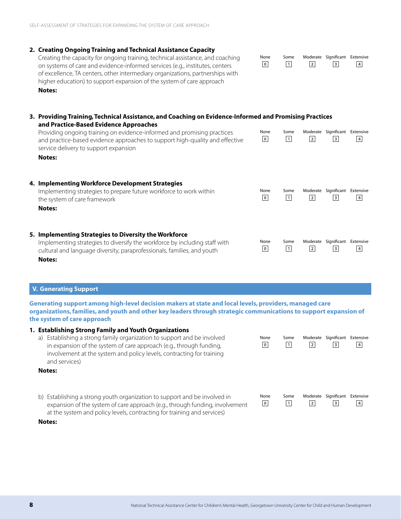#### **2. Creating Ongoing Training and Technical Assistance Capacity**

Creating the capacity for ongoing training, technical assistance, and coaching on systems of care and evidence-informed services (e.g., institutes, centers of excellence, TA centers, other intermediary organizations, partnerships with higher education) to support expansion of the system of care approach **Notes:**

| 3. Providing Training, Technical Assistance, and Coaching on Evidence-Informed and Promising Practices<br>and Practice-Based Evidence Approaches                                                               |                        |                         |                |                                                           |                |
|----------------------------------------------------------------------------------------------------------------------------------------------------------------------------------------------------------------|------------------------|-------------------------|----------------|-----------------------------------------------------------|----------------|
| Providing ongoing training on evidence-informed and promising practices<br>and practice-based evidence approaches to support high-quality and effective<br>service delivery to support expansion               | None<br>$\mathbf 0$    | Some<br>$\vert 1 \vert$ | 2              | Moderate Significant<br> 3                                | Extensive<br>4 |
| Notes:                                                                                                                                                                                                         |                        |                         |                |                                                           |                |
| 4. Implementing Workforce Development Strategies<br>Implementing strategies to prepare future workforce to work within<br>the system of care framework<br>Notes:                                               | None<br>$\overline{0}$ | Some<br>$\vert 1 \vert$ | 2              | Moderate Significant Extensive<br>$\overline{\mathbf{3}}$ | $\overline{4}$ |
| 5. Implementing Strategies to Diversity the Workforce<br>Implementing strategies to diversify the workforce by including staff with<br>cultural and language diversity, paraprofessionals, families, and youth | None<br>$\overline{0}$ | Some<br>$\vert$ 1       | $\overline{2}$ | Moderate Significant Extensive<br>$\overline{\mathbf{3}}$ | $\overline{4}$ |

None Some Moderate Significant Extensive

 $\overline{\mathbf{3}}$ 

 $\overline{4}$ 

 $\overline{2}$ 

 $\overline{0}$ 

 $\overline{1}$ 

### **V. Generating Support**

**1. Establishing Strong Family and Youth Organizations**

**Notes:**

**Generating support among high-level decision makers at state and local levels, providers, managed care organizations, families, and youth and other key leaders through strategic communications to support expansion of the system of care approach**

| a) Establishing a strong family organization to support and be involved<br>in expansion of the system of care approach (e.g., through funding,<br>involvement at the system and policy levels, contracting for training<br>and services)              | None<br>0       | Some<br>$\vert$ 1 | Moderate<br>$\sqrt{2}$     | Significant<br>3 | Extensive<br>$\overline{4}$ |
|-------------------------------------------------------------------------------------------------------------------------------------------------------------------------------------------------------------------------------------------------------|-----------------|-------------------|----------------------------|------------------|-----------------------------|
| Notes:                                                                                                                                                                                                                                                |                 |                   |                            |                  |                             |
| b) Establishing a strong youth organization to support and be involved in<br>expansion of the system of care approach (e.g., through funding, involvement<br>at the system and policy levels, contracting for training and services)<br><b>Notes:</b> | None<br>$\circ$ | Some<br>$\vert$ 1 | Moderate<br>$\overline{2}$ | Significant<br>3 | Extensive<br>$\overline{4}$ |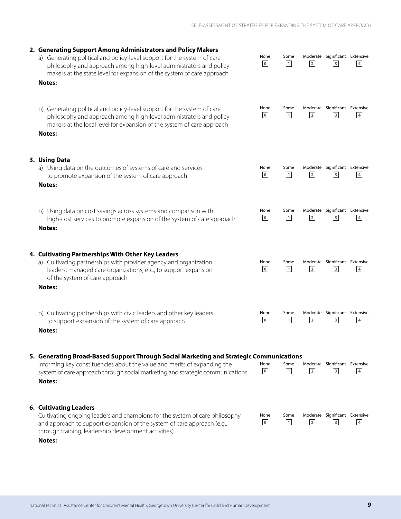| 2. Generating Support Among Administrators and Policy Makers<br>a) Generating political and policy-level support for the system of care<br>philosophy and approach among high-level administrators and policy<br>makers at the state level for expansion of the system of care approach<br><b>Notes:</b> | None<br>$\mathbf 0$             | Some<br>$\vert$ 1   | $\overline{2}$ | Moderate Significant Extensive<br>$\sqrt{3}$                | $\overline{4}$            |
|----------------------------------------------------------------------------------------------------------------------------------------------------------------------------------------------------------------------------------------------------------------------------------------------------------|---------------------------------|---------------------|----------------|-------------------------------------------------------------|---------------------------|
| b) Generating political and policy-level support for the system of care<br>philosophy and approach among high-level administrators and policy<br>makers at the local level for expansion of the system of care approach<br><b>Notes:</b>                                                                 | None<br>$\bullet$               | Some<br>$\boxed{1}$ | $\overline{2}$ | Moderate Significant Extensive<br>$\overline{\mathbf{3}}$   | $\overline{4}$            |
| 3. Using Data<br>a) Using data on the outcomes of systems of care and services<br>to promote expansion of the system of care approach<br><b>Notes:</b>                                                                                                                                                   | None<br>$\mathbf 0$             | Some<br>$\vert$ 1   | $\overline{2}$ | Moderate Significant Extensive<br>$\ensuremath{\mathsf{3}}$ | $\ensuremath{\mathsf{4}}$ |
| b) Using data on cost savings across systems and comparison with<br>high-cost services to promote expansion of the system of care approach<br><b>Notes:</b>                                                                                                                                              | None<br>$\circ$                 | Some<br>$\boxed{1}$ | $\overline{2}$ | Moderate Significant Extensive<br>$\ensuremath{\mathsf{3}}$ | $\sqrt{4}$                |
| 4. Cultivating Partnerships With Other Key Leaders<br>a) Cultivating partnerships with provider agency and organization<br>leaders, managed care organizations, etc., to support expansion<br>of the system of care approach<br><b>Notes:</b>                                                            | None<br>$\mathbf 0$             | Some<br>$\vert$ 1   | $\overline{2}$ | Moderate Significant Extensive<br>$\ensuremath{\mathsf{3}}$ | $\ensuremath{\mathsf{4}}$ |
| b) Cultivating partnerships with civic leaders and other key leaders<br>to support expansion of the system of care approach<br><b>Notes:</b>                                                                                                                                                             | None<br>$\overline{\mathbf{0}}$ | Some<br>$\boxed{1}$ | $\overline{2}$ | Moderate Significant Extensive<br>$\overline{\mathbf{3}}$   | $\overline{4}$            |
| 5. Generating Broad-Based Support Through Social Marketing and Strategic Communications<br>Informing key constituencies about the value and merits of expanding the<br>system of care approach through social marketing and strategic communications<br><b>Notes:</b>                                    | None<br>$\overline{0}$          | Some<br>$\boxed{1}$ | 2              | Moderate Significant Extensive<br>$\ensuremath{\mathsf{3}}$ | $\sqrt{4}$                |
| <b>6. Cultivating Leaders</b><br>Cultivating ongoing leaders and champions for the system of care philosophy<br>and approach to support expansion of the system of care approach (e.g.,<br>through training, leadership development activities)<br>Notes:                                                | None<br>$\mathbf 0$             | Some<br>$\vert$ 1   | $\overline{2}$ | Moderate Significant Extensive<br>$\overline{\mathbf{3}}$   | $\ensuremath{\mathsf{4}}$ |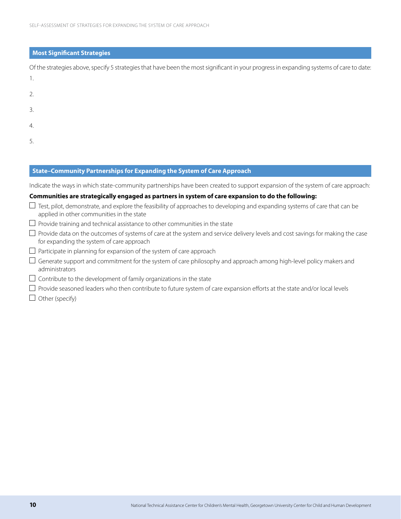### **Most Significant Strategies**

Of the strategies above, specify 5 strategies that have been the most significant in your progress in expanding systems of care to date: 1.

- 2. 3.
- 4.
- 
- 5.

### **State–Community Partnerships for Expanding the System of Care Approach**

Indicate the ways in which state-community partnerships have been created to support expansion of the system of care approach:

### **Communities are strategically engaged as partners in system of care expansion to do the following:**

- $\Box$  Test, pilot, demonstrate, and explore the feasibility of approaches to developing and expanding systems of care that can be applied in other communities in the state
- $\Box$  Provide training and technical assistance to other communities in the state
- $\Box$  Provide data on the outcomes of systems of care at the system and service delivery levels and cost savings for making the case for expanding the system of care approach
- $\Box$  Participate in planning for expansion of the system of care approach
- $\Box$  Generate support and commitment for the system of care philosophy and approach among high-level policy makers and administrators
- $\Box$  Contribute to the development of family organizations in the state
- $\Box$  Provide seasoned leaders who then contribute to future system of care expansion efforts at the state and/or local levels
- $\Box$  Other (specify)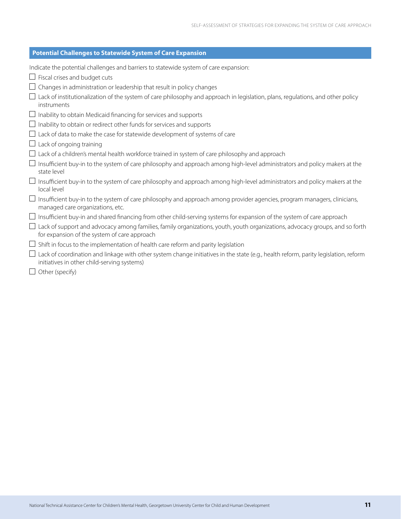| <b>Potential Challenges to Statewide System of Care Expansion</b>                                                                                                                         |
|-------------------------------------------------------------------------------------------------------------------------------------------------------------------------------------------|
| Indicate the potential challenges and barriers to statewide system of care expansion:                                                                                                     |
| $\Box$ Fiscal crises and budget cuts                                                                                                                                                      |
| Changes in administration or leadership that result in policy changes                                                                                                                     |
| Lack of institutionalization of the system of care philosophy and approach in legislation, plans, regulations, and other policy<br>instruments                                            |
| $\Box$ Inability to obtain Medicaid financing for services and supports                                                                                                                   |
| $\Box$ Inability to obtain or redirect other funds for services and supports                                                                                                              |
| Lack of data to make the case for statewide development of systems of care                                                                                                                |
| Lack of ongoing training                                                                                                                                                                  |
| Lack of a children's mental health workforce trained in system of care philosophy and approach                                                                                            |
| Insufficient buy-in to the system of care philosophy and approach among high-level administrators and policy makers at the<br>state level                                                 |
| Insufficient buy-in to the system of care philosophy and approach among high-level administrators and policy makers at the<br>local level                                                 |
| Insufficient buy-in to the system of care philosophy and approach among provider agencies, program managers, clinicians,<br>managed care organizations, etc.                              |
| Insufficient buy-in and shared financing from other child-serving systems for expansion of the system of care approach<br>$\Box$                                                          |
| Lack of support and advocacy among families, family organizations, youth, youth organizations, advocacy groups, and so forth<br>for expansion of the system of care approach              |
| Shift in focus to the implementation of health care reform and parity legislation                                                                                                         |
| $\Box$ Lack of coordination and linkage with other system change initiatives in the state (e.g., health reform, parity legislation, reform<br>initiatives in other child-serving systems) |